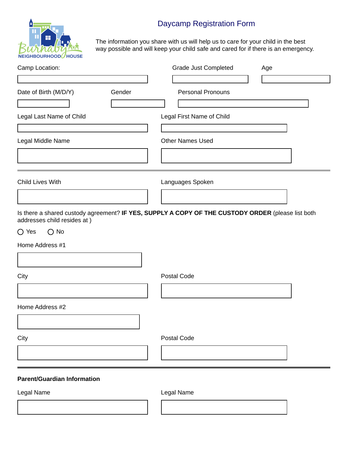# Daycamp Registration Form



The information you share with us will help us to care for your child in the best way possible and will keep your child safe and cared for if there is an emergency.

| Camp Location:                     | Grade Just Completed<br>Age                                                                       |  |  |  |  |
|------------------------------------|---------------------------------------------------------------------------------------------------|--|--|--|--|
| ▼                                  |                                                                                                   |  |  |  |  |
| Date of Birth (M/D/Y)<br>Gender    | <b>Personal Pronouns</b>                                                                          |  |  |  |  |
| Legal Last Name of Child           | Legal First Name of Child                                                                         |  |  |  |  |
| Legal Middle Name                  | <b>Other Names Used</b>                                                                           |  |  |  |  |
| Child Lives With                   | Languages Spoken                                                                                  |  |  |  |  |
| addresses child resides at )       | Is there a shared custody agreement? IF YES, SUPPLY A COPY OF THE CUSTODY ORDER (please list both |  |  |  |  |
| $\bigcirc$ Yes<br>$\bigcirc$ No    |                                                                                                   |  |  |  |  |
| Home Address #1                    |                                                                                                   |  |  |  |  |
|                                    |                                                                                                   |  |  |  |  |
| City                               | Postal Code                                                                                       |  |  |  |  |
| Home Address #2                    |                                                                                                   |  |  |  |  |
| City                               | <b>Postal Code</b>                                                                                |  |  |  |  |
|                                    |                                                                                                   |  |  |  |  |
| <b>Parent/Guardian Information</b> |                                                                                                   |  |  |  |  |
| Legal Name                         | Legal Name                                                                                        |  |  |  |  |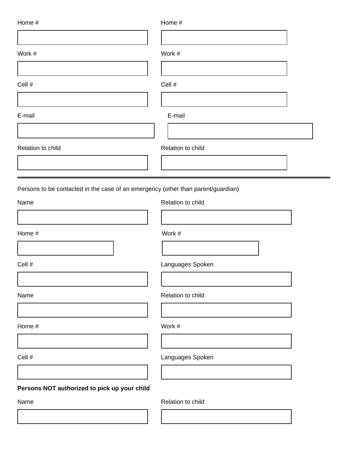| Home #                                                                           | Home #            |
|----------------------------------------------------------------------------------|-------------------|
|                                                                                  |                   |
| Work #                                                                           | Work #            |
| Cell #                                                                           | Cell #            |
|                                                                                  |                   |
| E-mail                                                                           | E-mail            |
| Relation to child                                                                | Relation to child |
|                                                                                  |                   |
| Persons to be contacted in the case of an emergency (other than parent/guardian) |                   |
| Name                                                                             | Relation to child |
| Home #                                                                           | Work #            |
| Cell #                                                                           | Languages Spoken  |
| Name                                                                             | Relation to child |
|                                                                                  |                   |
| Home #                                                                           | Work #            |
| Cell #                                                                           | Languages Spoken  |
| Persons NOT authorized to pick up your child                                     |                   |
| Name                                                                             | Relation to child |
|                                                                                  |                   |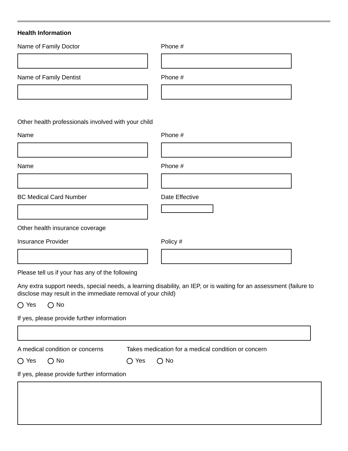# **Health Information**

| Name of Family Doctor                               | Phone # |
|-----------------------------------------------------|---------|
|                                                     |         |
| Name of Family Dentist                              | Phone # |
|                                                     |         |
|                                                     |         |
| Other health professionals involved with your child |         |
| Name                                                | Phone # |
|                                                     |         |
| Name                                                | Phone # |
|                                                     |         |

BC Medical Card Number Date Effective

Other health insurance coverage

Insurance Provider **Provider** Policy #

Please tell us if your has any of the following

Any extra support needs, special needs, a learning disability, an IEP, or is waiting for an assessment (failure to disclose may result in the immediate removal of your child)

 $O$  Yes  $O$  No

If yes, please provide further information

| Takes medication for a medical condition or concern<br>A medical condition or concerns |               |                |               |  |  |
|----------------------------------------------------------------------------------------|---------------|----------------|---------------|--|--|
| $\bigcirc$ Yes                                                                         | $\bigcirc$ No | $\bigcirc$ Yes | $\bigcirc$ No |  |  |
| If yes, please provide further information                                             |               |                |               |  |  |
|                                                                                        |               |                |               |  |  |
|                                                                                        |               |                |               |  |  |
|                                                                                        |               |                |               |  |  |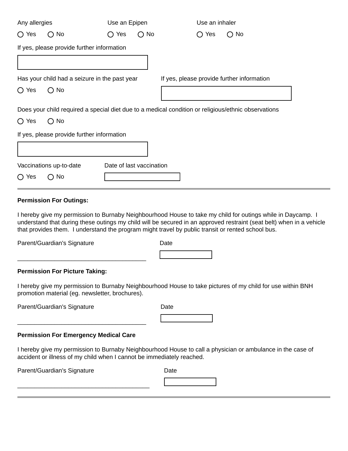| Any allergies                                 |                                                                                                     | Use an Epipen            |               | Use an inhaler |           |                                            |  |
|-----------------------------------------------|-----------------------------------------------------------------------------------------------------|--------------------------|---------------|----------------|-----------|--------------------------------------------|--|
| Yes<br>O.                                     | $\bigcirc$ No                                                                                       | Yes<br>O.                | $\bigcirc$ No |                | Yes<br>O. | $\bigcirc$ No                              |  |
|                                               | If yes, please provide further information                                                          |                          |               |                |           |                                            |  |
|                                               |                                                                                                     |                          |               |                |           |                                            |  |
| Has your child had a seizure in the past year |                                                                                                     |                          |               |                |           | If yes, please provide further information |  |
| Yes<br>$\left( \ \right)$                     | $\bigcirc$ No                                                                                       |                          |               |                |           |                                            |  |
|                                               | Does your child required a special diet due to a medical condition or religious/ethnic observations |                          |               |                |           |                                            |  |
| $\bigcirc$ No<br>$\bigcirc$ Yes               |                                                                                                     |                          |               |                |           |                                            |  |
| If yes, please provide further information    |                                                                                                     |                          |               |                |           |                                            |  |
|                                               |                                                                                                     |                          |               |                |           |                                            |  |
|                                               | Vaccinations up-to-date                                                                             | Date of last vaccination |               |                |           |                                            |  |
| Yes<br>( )                                    | $\bigcirc$ No                                                                                       |                          |               |                |           |                                            |  |

### **Permission For Outings:**

I hereby give my permission to Burnaby Neighbourhood House to take my child for outings while in Daycamp. I understand that during these outings my child will be secured in an approved restraint (seat belt) when in a vehicle that provides them. I understand the program might travel by public transit or rented school bus.

Parent/Guardian's Signature

Date

#### **Permission For Picture Taking:**

I hereby give my permission to Burnaby Neighbourhood House to take pictures of my child for use within BNH promotion material (eg. newsletter, brochures).

Parent/Guardian's Signature

| Date |
|------|
|------|

### **Permission For Emergency Medical Care**

\_\_\_\_\_\_\_\_\_\_\_\_\_\_\_\_\_\_\_\_\_\_\_\_\_\_\_\_\_\_\_\_\_\_\_\_\_\_

\_\_\_\_\_\_\_\_\_\_\_\_\_\_\_\_\_\_\_\_\_\_\_\_\_\_\_\_\_\_\_\_\_\_\_\_\_\_\_

\_\_\_\_\_\_\_\_\_\_\_\_\_\_\_\_\_\_\_\_\_\_\_\_\_\_\_\_\_\_\_\_\_\_\_\_\_\_

I hereby give my permission to Burnaby Neighbourhood House to call a physician or ambulance in the case of accident or illness of my child when I cannot be immediately reached.

Parent/Guardian's Signature

**Date**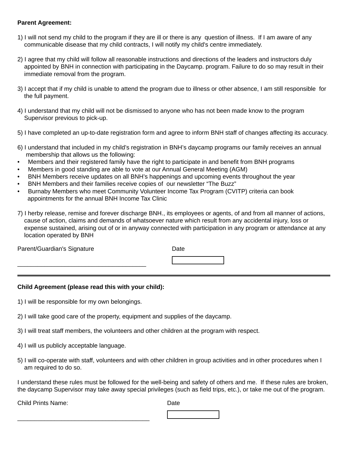#### **Parent Agreement:**

- 1) I will not send my child to the program if they are ill or there is any question of illness. If I am aware of any communicable disease that my child contracts, I will notify my child's centre immediately.
- 2) I agree that my child will follow all reasonable instructions and directions of the leaders and instructors duly appointed by BNH in connection with participating in the Daycamp. program. Failure to do so may result in their immediate removal from the program.
- 3) I accept that if my child is unable to attend the program due to illness or other absence, I am still responsible for the full payment.
- 4) I understand that my child will not be dismissed to anyone who has not been made know to the program Supervisor previous to pick-up.
- 5) I have completed an up-to-date registration form and agree to inform BNH staff of changes affecting its accuracy.
- 6) I understand that included in my child's registration in BNH's daycamp programs our family receives an annual membership that allows us the following:
- Members and their registered family have the right to participate in and benefit from BNH programs
- Members in good standing are able to vote at our Annual General Meeting (AGM)
- BNH Members receive updates on all BNH's happenings and upcoming events throughout the year
- BNH Members and their families receive copies of our newsletter "The Buzz"
- Burnaby Members who meet Community Volunteer Income Tax Program (CVITP) criteria can book appointments for the annual BNH Income Tax Clinic
- 7) I herby release, remise and forever discharge BNH., its employees or agents, of and from all manner of actions, cause of action, claims and demands of whatsoever nature which result from any accidental injury, loss or expense sustained, arising out of or in anyway connected with participation in any program or attendance at any location operated by BNH

| Parent/Guardian's Signature | Date |
|-----------------------------|------|
|                             |      |

## **Child Agreement (please read this with your child):**

- 1) I will be responsible for my own belongings.
- 2) I will take good care of the property, equipment and supplies of the daycamp.
- 3) I will treat staff members, the volunteers and other children at the program with respect.
- 4) I will us publicly acceptable language.

\_\_\_\_\_\_\_\_\_\_\_\_\_\_\_\_\_\_\_\_\_\_\_\_\_\_\_\_\_\_\_\_\_\_\_\_\_\_\_

5) I will co-operate with staff, volunteers and with other children in group activities and in other procedures when I am required to do so.

I understand these rules must be followed for the well-being and safety of others and me. If these rules are broken, the daycamp Supervisor may take away special privileges (such as field trips, etc.), or take me out of the program.

Child Prints Name:

Date